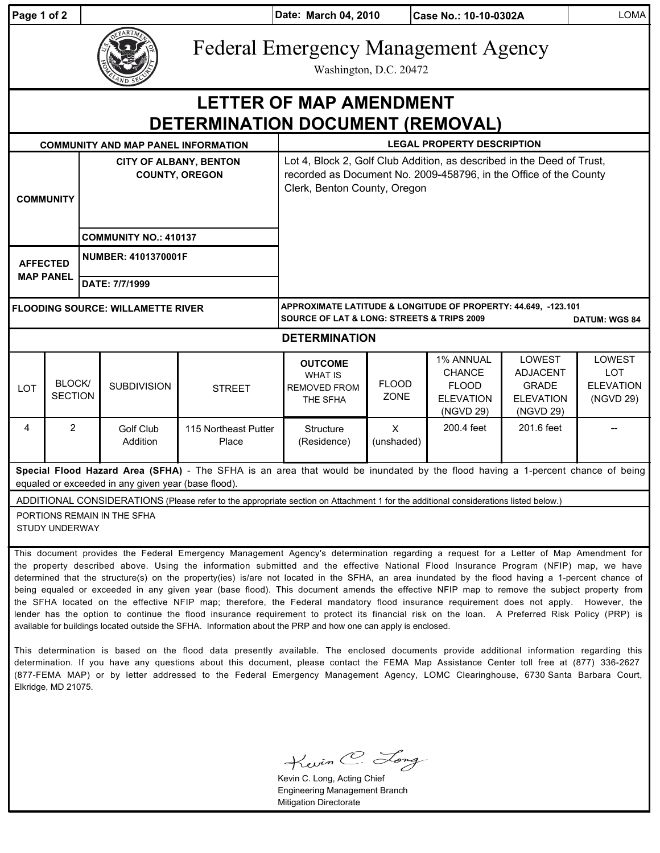| Page 1 of 2                                                                                                                                                                                                                                                                                                                                                                                                                                                                                                                                                                                                                                                                                                             |                          |                                                        |                                                                      |                               | Date: March 04, 2010<br>Case No.: 10-10-0302A                                                                                                                               |                             |                                                                             |                                                                            | <b>LOMA</b>                                           |  |
|-------------------------------------------------------------------------------------------------------------------------------------------------------------------------------------------------------------------------------------------------------------------------------------------------------------------------------------------------------------------------------------------------------------------------------------------------------------------------------------------------------------------------------------------------------------------------------------------------------------------------------------------------------------------------------------------------------------------------|--------------------------|--------------------------------------------------------|----------------------------------------------------------------------|-------------------------------|-----------------------------------------------------------------------------------------------------------------------------------------------------------------------------|-----------------------------|-----------------------------------------------------------------------------|----------------------------------------------------------------------------|-------------------------------------------------------|--|
|                                                                                                                                                                                                                                                                                                                                                                                                                                                                                                                                                                                                                                                                                                                         |                          |                                                        | <b>Federal Emergency Management Agency</b><br>Washington, D.C. 20472 |                               |                                                                                                                                                                             |                             |                                                                             |                                                                            |                                                       |  |
| <b>LETTER OF MAP AMENDMENT</b><br>DETERMINATION DOCUMENT (REMOVAL)                                                                                                                                                                                                                                                                                                                                                                                                                                                                                                                                                                                                                                                      |                          |                                                        |                                                                      |                               |                                                                                                                                                                             |                             |                                                                             |                                                                            |                                                       |  |
|                                                                                                                                                                                                                                                                                                                                                                                                                                                                                                                                                                                                                                                                                                                         |                          |                                                        | <b>COMMUNITY AND MAP PANEL INFORMATION</b>                           |                               | <b>LEGAL PROPERTY DESCRIPTION</b>                                                                                                                                           |                             |                                                                             |                                                                            |                                                       |  |
| <b>COMMUNITY</b>                                                                                                                                                                                                                                                                                                                                                                                                                                                                                                                                                                                                                                                                                                        |                          | <b>CITY OF ALBANY, BENTON</b><br><b>COUNTY, OREGON</b> |                                                                      |                               | Lot 4, Block 2, Golf Club Addition, as described in the Deed of Trust,<br>recorded as Document No. 2009-458796, in the Office of the County<br>Clerk, Benton County, Oregon |                             |                                                                             |                                                                            |                                                       |  |
|                                                                                                                                                                                                                                                                                                                                                                                                                                                                                                                                                                                                                                                                                                                         |                          | <b>COMMUNITY NO.: 410137</b>                           |                                                                      |                               |                                                                                                                                                                             |                             |                                                                             |                                                                            |                                                       |  |
| <b>AFFECTED</b><br><b>MAP PANEL</b>                                                                                                                                                                                                                                                                                                                                                                                                                                                                                                                                                                                                                                                                                     |                          | <b>NUMBER: 4101370001F</b>                             |                                                                      |                               |                                                                                                                                                                             |                             |                                                                             |                                                                            |                                                       |  |
|                                                                                                                                                                                                                                                                                                                                                                                                                                                                                                                                                                                                                                                                                                                         |                          | DATE: 7/7/1999                                         |                                                                      |                               |                                                                                                                                                                             |                             |                                                                             |                                                                            |                                                       |  |
| <b>FLOODING SOURCE: WILLAMETTE RIVER</b>                                                                                                                                                                                                                                                                                                                                                                                                                                                                                                                                                                                                                                                                                |                          |                                                        |                                                                      |                               | APPROXIMATE LATITUDE & LONGITUDE OF PROPERTY: 44.649, -123.101<br><b>SOURCE OF LAT &amp; LONG: STREETS &amp; TRIPS 2009</b><br><b>DATUM: WGS 84</b>                         |                             |                                                                             |                                                                            |                                                       |  |
| <b>DETERMINATION</b>                                                                                                                                                                                                                                                                                                                                                                                                                                                                                                                                                                                                                                                                                                    |                          |                                                        |                                                                      |                               |                                                                                                                                                                             |                             |                                                                             |                                                                            |                                                       |  |
| LOT                                                                                                                                                                                                                                                                                                                                                                                                                                                                                                                                                                                                                                                                                                                     | BLOCK/<br><b>SECTION</b> |                                                        | <b>SUBDIVISION</b>                                                   | <b>STREET</b>                 | <b>OUTCOME</b><br><b>WHAT IS</b><br><b>REMOVED FROM</b><br>THE SFHA                                                                                                         | <b>FLOOD</b><br><b>ZONE</b> | 1% ANNUAL<br><b>CHANCE</b><br><b>FLOOD</b><br><b>ELEVATION</b><br>(NGVD 29) | LOWEST<br><b>ADJACENT</b><br><b>GRADE</b><br><b>ELEVATION</b><br>(NGVD 29) | LOWEST<br><b>LOT</b><br><b>ELEVATION</b><br>(NGVD 29) |  |
| 4                                                                                                                                                                                                                                                                                                                                                                                                                                                                                                                                                                                                                                                                                                                       | $\mathbf{2}$             |                                                        | <b>Golf Club</b><br>Addition                                         | 115 Northeast Putter<br>Place | Structure<br>(Residence)                                                                                                                                                    | $\mathsf{X}$<br>(unshaded)  | 200.4 feet                                                                  | 201.6 feet                                                                 |                                                       |  |
| Special Flood Hazard Area (SFHA) - The SFHA is an area that would be inundated by the flood having a 1-percent chance of being<br>equaled or exceeded in any given year (base flood).                                                                                                                                                                                                                                                                                                                                                                                                                                                                                                                                   |                          |                                                        |                                                                      |                               |                                                                                                                                                                             |                             |                                                                             |                                                                            |                                                       |  |
| ADDITIONAL CONSIDERATIONS (Please refer to the appropriate section on Attachment 1 for the additional considerations listed below.)                                                                                                                                                                                                                                                                                                                                                                                                                                                                                                                                                                                     |                          |                                                        |                                                                      |                               |                                                                                                                                                                             |                             |                                                                             |                                                                            |                                                       |  |
| PORTIONS REMAIN IN THE SFHA<br><b>STUDY UNDERWAY</b>                                                                                                                                                                                                                                                                                                                                                                                                                                                                                                                                                                                                                                                                    |                          |                                                        |                                                                      |                               |                                                                                                                                                                             |                             |                                                                             |                                                                            |                                                       |  |
| This document provides the Federal Emergency Management Agency's determination regarding a request for a Letter of Map Amendment for<br>the property described above. Using the information submitted and the effective National Flood Insurance Program (NFIP) map, we have<br>determined that the structure(s) on the property(ies) is/are not located in the SFHA, an area inundated by the flood having a 1-percent chance of<br>being equaled or exceeded in any given year (base flood). This document amends the effective NFIP map to remove the subject property from<br>the SFHA located on the effective NFIP map; therefore, the Federal mandatory flood insurance requirement does not apply. However, the |                          |                                                        |                                                                      |                               |                                                                                                                                                                             |                             |                                                                             |                                                                            |                                                       |  |

This determination is based on the flood data presently available. The enclosed documents provide additional information regarding this determination. If you have any questions about this document, please contact the FEMA Map Assistance Center toll free at (877) 336-2627 (877-FEMA MAP) or by letter addressed to the Federal Emergency Management Agency, LOMC Clearinghouse, 6730 Santa Barbara Court, Elkridge, MD 21075.

lender has the option to continue the flood insurance requirement to protect its financial risk on the loan. A Preferred Risk Policy (PRP) is

available for buildings located outside the SFHA. Information about the PRP and how one can apply is enclosed.

Kwin C. Long

Kevin C. Long, Acting Chief Engineering Management Branch Mitigation Directorate